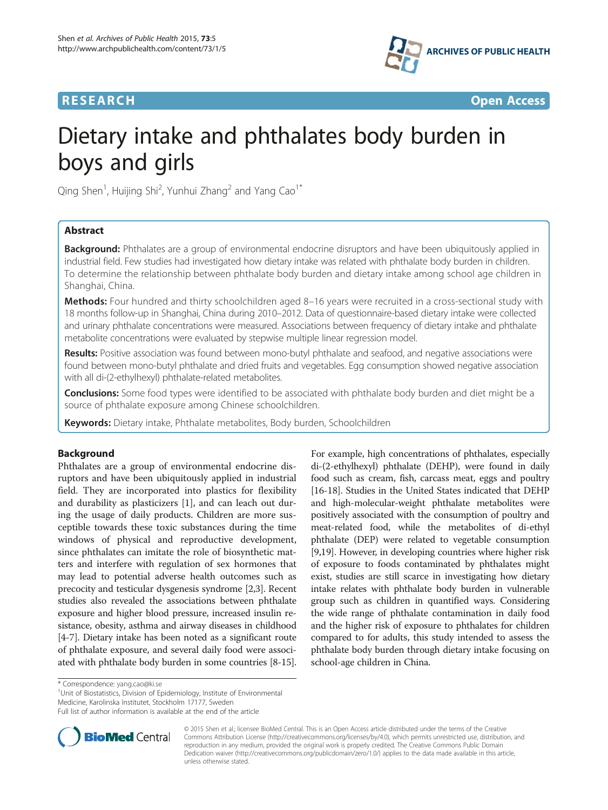

**RESEARCH CHINESE ARCH CHINESE ARCHITECT ARCHITECT ARCHITECT ARCHITECT ARCHITECT ARCHITECT ARCHITECT ARCHITECT ARCHITECT ARCHITECT ARCHITECT ARCHITECT ARCHITECT ARCHITECT ARCHITECT ARCHITECT ARCHITECT ARCHITECT ARCHITE** 

# Dietary intake and phthalates body burden in boys and girls

Qing Shen $^1$ , Huijing Shi $^2$ , Yunhui Zhang $^2$  and Yang Cao $^1{}^*$ 

# Abstract

**Background:** Phthalates are a group of environmental endocrine disruptors and have been ubiquitously applied in industrial field. Few studies had investigated how dietary intake was related with phthalate body burden in children. To determine the relationship between phthalate body burden and dietary intake among school age children in Shanghai, China.

Methods: Four hundred and thirty schoolchildren aged 8-16 years were recruited in a cross-sectional study with 18 months follow-up in Shanghai, China during 2010–2012. Data of questionnaire-based dietary intake were collected and urinary phthalate concentrations were measured. Associations between frequency of dietary intake and phthalate metabolite concentrations were evaluated by stepwise multiple linear regression model.

Results: Positive association was found between mono-butyl phthalate and seafood, and negative associations were found between mono-butyl phthalate and dried fruits and vegetables. Egg consumption showed negative association with all di-(2-ethylhexyl) phthalate-related metabolites.

**Conclusions:** Some food types were identified to be associated with phthalate body burden and diet might be a source of phthalate exposure among Chinese schoolchildren.

Keywords: Dietary intake, Phthalate metabolites, Body burden, Schoolchildren

# Background

Phthalates are a group of environmental endocrine disruptors and have been ubiquitously applied in industrial field. They are incorporated into plastics for flexibility and durability as plasticizers [\[1](#page-3-0)], and can leach out during the usage of daily products. Children are more susceptible towards these toxic substances during the time windows of physical and reproductive development, since phthalates can imitate the role of biosynthetic matters and interfere with regulation of sex hormones that may lead to potential adverse health outcomes such as precocity and testicular dysgenesis syndrome [\[2,3](#page-3-0)]. Recent studies also revealed the associations between phthalate exposure and higher blood pressure, increased insulin resistance, obesity, asthma and airway diseases in childhood [[4-7\]](#page-3-0). Dietary intake has been noted as a significant route of phthalate exposure, and several daily food were associated with phthalate body burden in some countries [\[8](#page-3-0)-[15](#page-4-0)].

di-(2-ethylhexyl) phthalate (DEHP), were found in daily food such as cream, fish, carcass meat, eggs and poultry [[16](#page-4-0)-[18\]](#page-4-0). Studies in the United States indicated that DEHP and high-molecular-weight phthalate metabolites were positively associated with the consumption of poultry and meat-related food, while the metabolites of di-ethyl phthalate (DEP) were related to vegetable consumption [[9,](#page-3-0)[19](#page-4-0)]. However, in developing countries where higher risk of exposure to foods contaminated by phthalates might exist, studies are still scarce in investigating how dietary intake relates with phthalate body burden in vulnerable group such as children in quantified ways. Considering the wide range of phthalate contamination in daily food and the higher risk of exposure to phthalates for children compared to for adults, this study intended to assess the phthalate body burden through dietary intake focusing on school-age children in China.

For example, high concentrations of phthalates, especially

<sup>1</sup>Unit of Biostatistics, Division of Epidemiology, Institute of Environmental

Medicine, Karolinska Institutet, Stockholm 17177, Sweden

Full list of author information is available at the end of the article



© 2015 Shen et al.; licensee BioMed Central. This is an Open Access article distributed under the terms of the Creative Commons Attribution License [\(http://creativecommons.org/licenses/by/4.0\)](http://creativecommons.org/licenses/by/4.0), which permits unrestricted use, distribution, and reproduction in any medium, provided the original work is properly credited. The Creative Commons Public Domain Dedication waiver [\(http://creativecommons.org/publicdomain/zero/1.0/](http://creativecommons.org/publicdomain/zero/1.0/)) applies to the data made available in this article, unless otherwise stated.

<sup>\*</sup> Correspondence: [yang.cao@ki.se](mailto:yang.cao@ki.se) <sup>1</sup>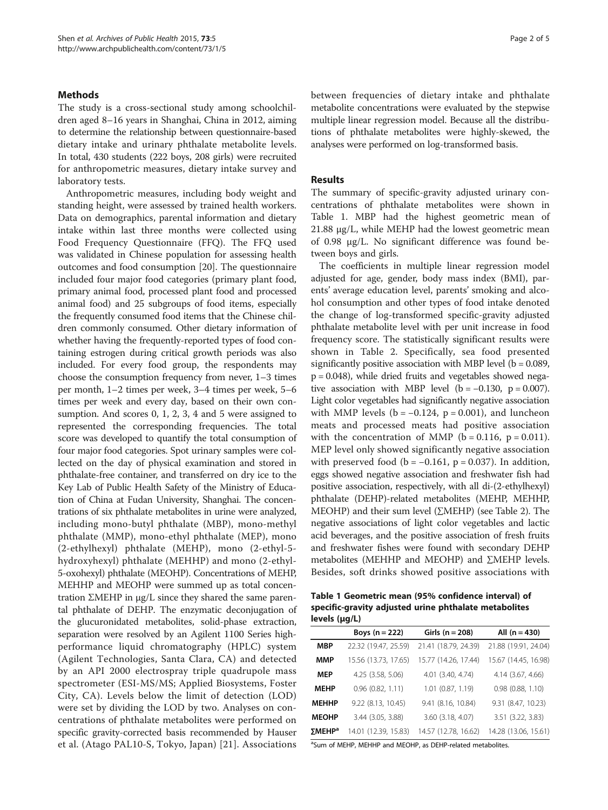# **Methods**

The study is a cross-sectional study among schoolchildren aged 8–16 years in Shanghai, China in 2012, aiming to determine the relationship between questionnaire-based dietary intake and urinary phthalate metabolite levels. In total, 430 students (222 boys, 208 girls) were recruited for anthropometric measures, dietary intake survey and laboratory tests.

Anthropometric measures, including body weight and standing height, were assessed by trained health workers. Data on demographics, parental information and dietary intake within last three months were collected using Food Frequency Questionnaire (FFQ). The FFQ used was validated in Chinese population for assessing health outcomes and food consumption [\[20\]](#page-4-0). The questionnaire included four major food categories (primary plant food, primary animal food, processed plant food and processed animal food) and 25 subgroups of food items, especially the frequently consumed food items that the Chinese children commonly consumed. Other dietary information of whether having the frequently-reported types of food containing estrogen during critical growth periods was also included. For every food group, the respondents may choose the consumption frequency from never, 1–3 times per month, 1–2 times per week, 3–4 times per week, 5–6 times per week and every day, based on their own consumption. And scores 0, 1, 2, 3, 4 and 5 were assigned to represented the corresponding frequencies. The total score was developed to quantify the total consumption of four major food categories. Spot urinary samples were collected on the day of physical examination and stored in phthalate-free container, and transferred on dry ice to the Key Lab of Public Health Safety of the Ministry of Education of China at Fudan University, Shanghai. The concentrations of six phthalate metabolites in urine were analyzed, including mono-butyl phthalate (MBP), mono-methyl phthalate (MMP), mono-ethyl phthalate (MEP), mono (2-ethylhexyl) phthalate (MEHP), mono (2-ethyl-5 hydroxyhexyl) phthalate (MEHHP) and mono (2-ethyl-5-oxohexyl) phthalate (MEOHP). Concentrations of MEHP, MEHHP and MEOHP were summed up as total concentration ΣMEHP in μg/L since they shared the same parental phthalate of DEHP. The enzymatic deconjugation of the glucuronidated metabolites, solid-phase extraction, separation were resolved by an Agilent 1100 Series highperformance liquid chromatography (HPLC) system (Agilent Technologies, Santa Clara, CA) and detected by an API 2000 electrospray triple quadrupole mass spectrometer (ESI-MS/MS; Applied Biosystems, Foster City, CA). Levels below the limit of detection (LOD) were set by dividing the LOD by two. Analyses on concentrations of phthalate metabolites were performed on specific gravity-corrected basis recommended by Hauser et al. (Atago PAL10-S, Tokyo, Japan) [[21\]](#page-4-0). Associations between frequencies of dietary intake and phthalate metabolite concentrations were evaluated by the stepwise multiple linear regression model. Because all the distributions of phthalate metabolites were highly-skewed, the analyses were performed on log-transformed basis.

# Results

The summary of specific-gravity adjusted urinary concentrations of phthalate metabolites were shown in Table 1. MBP had the highest geometric mean of 21.88 μg/L, while MEHP had the lowest geometric mean of 0.98 μg/L. No significant difference was found between boys and girls.

The coefficients in multiple linear regression model adjusted for age, gender, body mass index (BMI), parents' average education level, parents' smoking and alcohol consumption and other types of food intake denoted the change of log-transformed specific-gravity adjusted phthalate metabolite level with per unit increase in food frequency score. The statistically significant results were shown in Table [2.](#page-2-0) Specifically, sea food presented significantly positive association with MBP level  $(b = 0.089,$ p = 0.048), while dried fruits and vegetables showed negative association with MBP level  $(b = -0.130, p = 0.007)$ . Light color vegetables had significantly negative association with MMP levels ( $b = -0.124$ ,  $p = 0.001$ ), and luncheon meats and processed meats had positive association with the concentration of MMP ( $b = 0.116$ ,  $p = 0.011$ ). MEP level only showed significantly negative association with preserved food ( $b = -0.161$ ,  $p = 0.037$ ). In addition, eggs showed negative association and freshwater fish had positive association, respectively, with all di-(2-ethylhexyl) phthalate (DEHP)-related metabolites (MEHP, MEHHP, MEOHP) and their sum level (∑MEHP) (see Table [2\)](#page-2-0). The negative associations of light color vegetables and lactic acid beverages, and the positive association of fresh fruits and freshwater fishes were found with secondary DEHP metabolites (MEHHP and MEOHP) and ∑MEHP levels. Besides, soft drinks showed positive associations with

Table 1 Geometric mean (95% confidence interval) of specific-gravity adjusted urine phthalate metabolites levels (μg/L)

|                    | Boys ( $n = 222$ )   | Girls ( $n = 208$ )  | All $(n = 430)$      |  |
|--------------------|----------------------|----------------------|----------------------|--|
| MBP                | 22.32 (19.47, 25.59) | 21.41 (18.79, 24.39) | 21.88 (19.91, 24.04) |  |
| MMP                | 15.56 (13.73, 17.65) | 15.77 (14.26, 17.44) | 15.67 (14.45, 16.98) |  |
| MEP                | 4.25 (3.58, 5.06)    | 4.01 (3.40, 4.74)    | 4.14 (3.67, 4.66)    |  |
| <b>MEHP</b>        | 0.96(0.82, 1.11)     | $1.01$ (0.87, 1.19)  | 0.98(0.88, 1.10)     |  |
| <b>MEHHP</b>       | $9.22$ (8.13, 10.45) | 9.41 (8.16, 10.84)   | 9.31 (8.47, 10.23)   |  |
| <b>MEOHP</b>       | 3.44 (3.05, 3.88)    | 3.60 (3.18, 4.07)    | 3.51 (3.22, 3.83)    |  |
| ΣMEHP <sup>a</sup> | 14.01 (12.39, 15.83) | 14.57 (12.78, 16.62) | 14.28 (13.06, 15.61) |  |

<sup>a</sup>Sum of MEHP, MEHHP and MEOHP, as DEHP-related metabolites.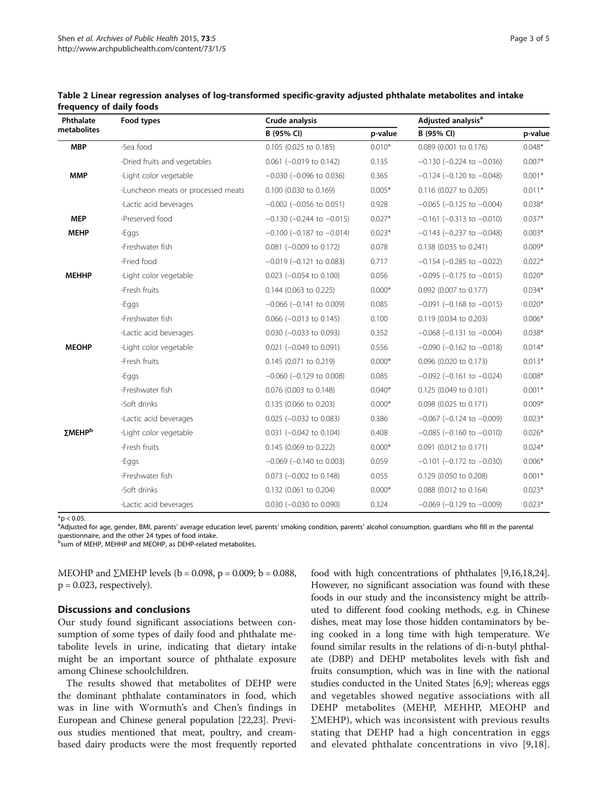| Phthalate<br>metabolites | Food types                         | Crude analysis                    |          | Adjusted analysis <sup>a</sup>    |          |
|--------------------------|------------------------------------|-----------------------------------|----------|-----------------------------------|----------|
|                          |                                    | B (95% CI)                        | p-value  | B (95% CI)                        | p-value  |
| <b>MBP</b>               | -Sea food                          | 0.105 (0.025 to 0.185)            | $0.010*$ | 0.089 (0.001 to 0.176)            | $0.048*$ |
|                          | -Dried fruits and vegetables       | $0.061$ (-0.019 to 0.142)         | 0.135    | $-0.130$ ( $-0.224$ to $-0.036$ ) | $0.007*$ |
| <b>MMP</b>               | -Light color vegetable             | $-0.030$ ( $-0.096$ to 0.036)     | 0.365    | $-0.124$ ( $-0.120$ to $-0.048$ ) | $0.001*$ |
|                          | -Luncheon meats or processed meats | 0.100 (0.030 to 0.169)            | $0.005*$ | 0.116 (0.027 to 0.205)            | $0.011*$ |
|                          | -Lactic acid beverages             | $-0.002$ ( $-0.056$ to 0.051)     | 0.928    | $-0.065$ ( $-0.125$ to $-0.004$ ) | $0.038*$ |
| <b>MEP</b>               | -Preserved food                    | $-0.130$ ( $-0.244$ to $-0.015$ ) | $0.027*$ | $-0.161$ ( $-0.313$ to $-0.010$ ) | $0.037*$ |
| <b>MEHP</b>              | -Eggs                              | $-0.100$ ( $-0.187$ to $-0.014$ ) | $0.023*$ | $-0.143$ ( $-0.237$ to $-0.048$ ) | $0.003*$ |
|                          | -Freshwater fish                   | $0.081$ (-0.009 to 0.172)         | 0.078    | 0.138 (0.035 to 0.241)            | $0.009*$ |
|                          | -Fried food                        | $-0.019$ ( $-0.121$ to 0.083)     | 0.717    | $-0.154$ ( $-0.285$ to $-0.022$ ) | $0.022*$ |
| <b>MEHHP</b>             | -Light color vegetable             | $0.023$ (-0.054 to 0.100)         | 0.056    | $-0.095$ ( $-0.175$ to $-0.015$ ) | $0.020*$ |
|                          | -Fresh fruits                      | 0.144 (0.063 to 0.225)            | $0.000*$ | 0.092 (0.007 to 0.177)            | $0.034*$ |
|                          | -Eggs                              | $-0.066$ ( $-0.141$ to 0.009)     | 0.085    | $-0.091$ ( $-0.168$ to $-0.015$ ) | $0.020*$ |
|                          | -Freshwater fish                   | $0.066$ ( $-0.013$ to 0.145)      | 0.100    | 0.119 (0.034 to 0.203)            | $0.006*$ |
|                          | -Lactic acid beverages             | $0.030$ (-0.033 to 0.093)         | 0.352    | $-0.068$ ( $-0.131$ to $-0.004$ ) | $0.038*$ |
| <b>MEOHP</b>             | -Light color vegetable             | $0.021$ (-0.049 to 0.091)         | 0.556    | $-0.090$ ( $-0.162$ to $-0.018$ ) | $0.014*$ |
|                          | -Fresh fruits                      | 0.145 (0.071 to 0.219)            | $0.000*$ | 0.096 (0.020 to 0.173)            | $0.013*$ |
|                          | -Eggs                              | $-0.060$ ( $-0.129$ to 0.008)     | 0.085    | $-0.092$ ( $-0.161$ to $-0.024$ ) | $0.008*$ |
|                          | -Freshwater fish                   | 0.076 (0.003 to 0.148)            | $0.040*$ | 0.125 (0.049 to 0.101)            | $0.001*$ |
|                          | -Soft drinks                       | 0.135 (0.066 to 0.203)            | $0.000*$ | 0.098 (0.025 to 0.171)            | $0.009*$ |
|                          | -Lactic acid beverages             | $0.025$ (-0.032 to 0.083)         | 0.386    | $-0.067$ ( $-0.124$ to $-0.009$ ) | $0.023*$ |
| ΣMEHP <sup>b</sup>       | -Light color vegetable             | $0.031$ (-0.042 to 0.104)         | 0.408    | $-0.085$ ( $-0.160$ to $-0.010$ ) | $0.026*$ |
|                          | -Fresh fruits                      | 0.145 (0.069 to 0.222)            | $0.000*$ | 0.091 (0.012 to 0.171)            | $0.024*$ |
|                          | -Eggs                              | $-0.069$ ( $-0.140$ to 0.003)     | 0.059    | $-0.101$ ( $-0.172$ to $-0.030$ ) | $0.006*$ |
|                          | -Freshwater fish                   | $0.073$ (-0.002 to 0.148)         | 0.055    | 0.129 (0.050 to 0.208)            | $0.001*$ |
|                          | -Soft drinks                       | 0.132 (0.061 to 0.204)            | $0.000*$ | 0.088 (0.012 to 0.164)            | $0.023*$ |
|                          | -Lactic acid beverages             | $0.030$ (-0.030 to 0.090)         | 0.324    | $-0.069$ ( $-0.129$ to $-0.009$ ) | $0.023*$ |

<span id="page-2-0"></span>Table 2 Linear regression analyses of log-transformed specific-gravity adjusted phthalate metabolites and intake frequency of daily foods

 $*$ p < 0.05.

<sup>a</sup>Adjusted for age, gender, BMI, parents' average education level, parents' smoking condition, parents' alcohol consumption, guardians who fill in the parental questionnaire, and the other 24 types of food intake.

**b**sum of MEHP, MEHHP and MEOHP, as DEHP-related metabolites.

MEOHP and ∑MEHP levels ( $b = 0.098$ ,  $p = 0.009$ ;  $b = 0.088$ ,  $p = 0.023$ , respectively).

# Discussions and conclusions

Our study found significant associations between consumption of some types of daily food and phthalate metabolite levels in urine, indicating that dietary intake might be an important source of phthalate exposure among Chinese schoolchildren.

The results showed that metabolites of DEHP were the dominant phthalate contaminators in food, which was in line with Wormuth's and Chen's findings in European and Chinese general population [\[22,23\]](#page-4-0). Previous studies mentioned that meat, poultry, and creambased dairy products were the most frequently reported

food with high concentrations of phthalates [\[9](#page-3-0)[,16,18,24](#page-4-0)]. However, no significant association was found with these foods in our study and the inconsistency might be attributed to different food cooking methods, e.g. in Chinese dishes, meat may lose those hidden contaminators by being cooked in a long time with high temperature. We found similar results in the relations of di-n-butyl phthalate (DBP) and DEHP metabolites levels with fish and fruits consumption, which was in line with the national studies conducted in the United States [\[6,9\]](#page-3-0); whereas eggs and vegetables showed negative associations with all DEHP metabolites (MEHP, MEHHP, MEOHP and ∑MEHP), which was inconsistent with previous results stating that DEHP had a high concentration in eggs and elevated phthalate concentrations in vivo [\[9,](#page-3-0)[18](#page-4-0)].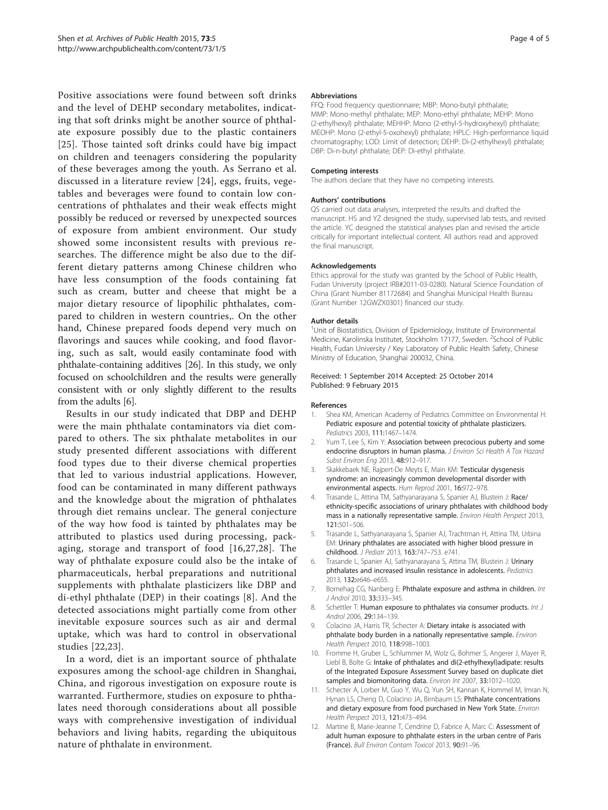<span id="page-3-0"></span>Positive associations were found between soft drinks and the level of DEHP secondary metabolites, indicating that soft drinks might be another source of phthalate exposure possibly due to the plastic containers [[25](#page-4-0)]. Those tainted soft drinks could have big impact on children and teenagers considering the popularity of these beverages among the youth. As Serrano et al. discussed in a literature review [\[24\]](#page-4-0), eggs, fruits, vegetables and beverages were found to contain low concentrations of phthalates and their weak effects might possibly be reduced or reversed by unexpected sources of exposure from ambient environment. Our study showed some inconsistent results with previous researches. The difference might be also due to the different dietary patterns among Chinese children who have less consumption of the foods containing fat such as cream, butter and cheese that might be a major dietary resource of lipophilic phthalates, compared to children in western countries,. On the other hand, Chinese prepared foods depend very much on flavorings and sauces while cooking, and food flavoring, such as salt, would easily contaminate food with phthalate-containing additives [\[26\]](#page-4-0). In this study, we only focused on schoolchildren and the results were generally consistent with or only slightly different to the results from the adults [6].

Results in our study indicated that DBP and DEHP were the main phthalate contaminators via diet compared to others. The six phthalate metabolites in our study presented different associations with different food types due to their diverse chemical properties that led to various industrial applications. However, food can be contaminated in many different pathways and the knowledge about the migration of phthalates through diet remains unclear. The general conjecture of the way how food is tainted by phthalates may be attributed to plastics used during processing, packaging, storage and transport of food [[16](#page-4-0),[27,28](#page-4-0)]. The way of phthalate exposure could also be the intake of pharmaceuticals, herbal preparations and nutritional supplements with phthalate plasticizers like DBP and di-ethyl phthalate (DEP) in their coatings [8]. And the detected associations might partially come from other inevitable exposure sources such as air and dermal uptake, which was hard to control in observational studies [[22,23\]](#page-4-0).

In a word, diet is an important source of phthalate exposures among the school-age children in Shanghai, China, and rigorous investigation on exposure route is warranted. Furthermore, studies on exposure to phthalates need thorough considerations about all possible ways with comprehensive investigation of individual behaviors and living habits, regarding the ubiquitous nature of phthalate in environment.

#### **Abbreviations**

FFQ: Food frequency questionnaire; MBP: Mono-butyl phthalate; MMP: Mono-methyl phthalate; MEP: Mono-ethyl phthalate; MEHP: Mono (2-ethylhexyl) phthalate; MEHHP: Mono (2-ethyl-5-hydroxyhexyl) phthalate; MEOHP: Mono (2-ethyl-5-oxohexyl) phthalate; HPLC: High-performance liquid chromatography; LOD: Limit of detection; DEHP: Di-(2-ethylhexyl) phthalate; DBP: Di-n-butyl phthalate; DEP: Di-ethyl phthalate.

#### Competing interests

The authors declare that they have no competing interests.

## Authors' contributions

QS carried out data analyses, interpreted the results and drafted the manuscript. HS and YZ designed the study, supervised lab tests, and revised the article. YC designed the statistical analyses plan and revised the article critically for important intellectual content. All authors read and approved the final manuscript.

#### Acknowledgements

Ethics approval for the study was granted by the School of Public Health, Fudan University (project IRB#2011-03-0280). Natural Science Foundation of China (Grant Number 81172684) and Shanghai Municipal Health Bureau (Grant Number 12GWZX0301) financed our study.

#### Author details

<sup>1</sup>Unit of Biostatistics, Division of Epidemiology, Institute of Environmental Medicine, Karolinska Institutet, Stockholm 17177, Sweden. <sup>2</sup>School of Public Health, Fudan University / Key Laboratory of Public Health Safety, Chinese Ministry of Education, Shanghai 200032, China.

#### Received: 1 September 2014 Accepted: 25 October 2014 Published: 9 February 2015

### References

- 1. Shea KM, American Academy of Pediatrics Committee on Environmental H: Pediatric exposure and potential toxicity of phthalate plasticizers. Pediatrics 2003, 111:1467–1474.
- 2. Yum T, Lee S, Kim Y: Association between precocious puberty and some endocrine disruptors in human plasma. J Environ Sci Health A Tox Hazard Subst Environ Eng 2013, 48:912–917.
- 3. Skakkebaek NE, Rajpert-De Meyts E, Main KM: Testicular dysgenesis syndrome: an increasingly common developmental disorder with environmental aspects. Hum Reprod 2001, 16:972–978.
- 4. Trasande L, Attina TM, Sathyanarayana S, Spanier AJ, Blustein J: Race/ ethnicity-specific associations of urinary phthalates with childhood body mass in a nationally representative sample. Environ Health Perspect 2013, 121:501–506.
- 5. Trasande L, Sathyanarayana S, Spanier AJ, Trachtman H, Attina TM, Urbina EM: Urinary phthalates are associated with higher blood pressure in childhood. J Pediatr 2013, 163:747–753. e741.
- 6. Trasande L, Spanier AJ, Sathyanarayana S, Attina TM, Blustein J: Urinary phthalates and increased insulin resistance in adolescents. Pediatrics 2013, 132:e646–e655.
- 7. Bornehag CG, Nanberg E: Phthalate exposure and asthma in children. Int J Androl 2010, 33:333–345.
- 8. Schettler T: Human exposure to phthalates via consumer products. Int J Androl 2006, 29:134–139.
- 9. Colacino JA, Harris TR, Schecter A: Dietary intake is associated with phthalate body burden in a nationally representative sample. Environ Health Perspect 2010, 118:998–1003.
- 10. Fromme H, Gruber L, Schlummer M, Wolz G, Bohmer S, Angerer J, Mayer R, Liebl B, Bolte G: Intake of phthalates and di(2-ethylhexyl)adipate: results of the Integrated Exposure Assessment Survey based on duplicate diet samples and biomonitoring data. Environ Int 2007, 33:1012–1020.
- 11. Schecter A, Lorber M, Guo Y, Wu Q, Yun SH, Kannan K, Hommel M, Imran N, Hynan LS, Cheng D, Colacino JA, Birnbaum LS: Phthalate concentrations and dietary exposure from food purchased in New York State. Environ Health Perspect 2013, 121:473–494.
- 12. Martine B, Marie-Jeanne T, Cendrine D, Fabrice A, Marc C: Assessment of adult human exposure to phthalate esters in the urban centre of Paris (France). Bull Environ Contam Toxicol 2013, 90:91–96.